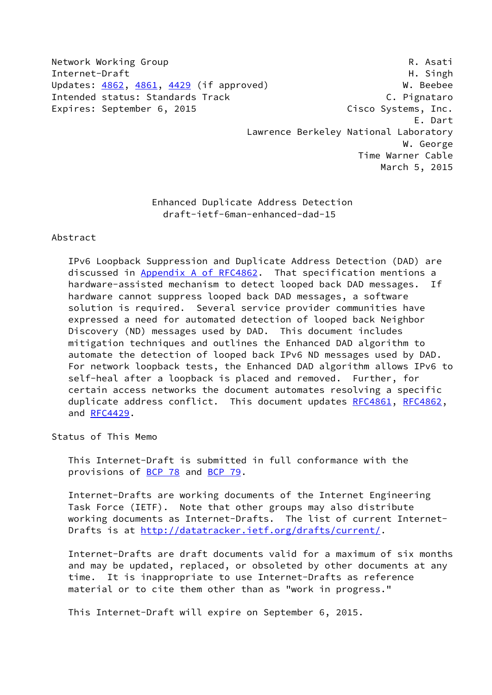Network Working Group **R. Asati** Internet-Draft **Highland** H. Singh Updates: [4862](https://datatracker.ietf.org/doc/pdf/rfc4862), [4861,](https://datatracker.ietf.org/doc/pdf/rfc4861) [4429](https://datatracker.ietf.org/doc/pdf/rfc4429) (if approved) W. Beebee Intended status: Standards Track C. Pignataro Expires: September 6, 2015 Cisco Systems, Inc. E. Dart Lawrence Berkeley National Laboratory W. George

 Time Warner Cable March 5, 2015

 Enhanced Duplicate Address Detection draft-ietf-6man-enhanced-dad-15

### Abstract

 IPv6 Loopback Suppression and Duplicate Address Detection (DAD) are discussed in Appendix [A of RFC4862](https://datatracker.ietf.org/doc/pdf/rfc4862#appendix-A). That specification mentions a hardware-assisted mechanism to detect looped back DAD messages. If hardware cannot suppress looped back DAD messages, a software solution is required. Several service provider communities have expressed a need for automated detection of looped back Neighbor Discovery (ND) messages used by DAD. This document includes mitigation techniques and outlines the Enhanced DAD algorithm to automate the detection of looped back IPv6 ND messages used by DAD. For network loopback tests, the Enhanced DAD algorithm allows IPv6 to self-heal after a loopback is placed and removed. Further, for certain access networks the document automates resolving a specific duplicate address conflict. This document updates [RFC4861](https://datatracker.ietf.org/doc/pdf/rfc4861), [RFC4862,](https://datatracker.ietf.org/doc/pdf/rfc4862) and [RFC4429.](https://datatracker.ietf.org/doc/pdf/rfc4429)

Status of This Memo

 This Internet-Draft is submitted in full conformance with the provisions of [BCP 78](https://datatracker.ietf.org/doc/pdf/bcp78) and [BCP 79](https://datatracker.ietf.org/doc/pdf/bcp79).

 Internet-Drafts are working documents of the Internet Engineering Task Force (IETF). Note that other groups may also distribute working documents as Internet-Drafts. The list of current Internet Drafts is at<http://datatracker.ietf.org/drafts/current/>.

 Internet-Drafts are draft documents valid for a maximum of six months and may be updated, replaced, or obsoleted by other documents at any time. It is inappropriate to use Internet-Drafts as reference material or to cite them other than as "work in progress."

This Internet-Draft will expire on September 6, 2015.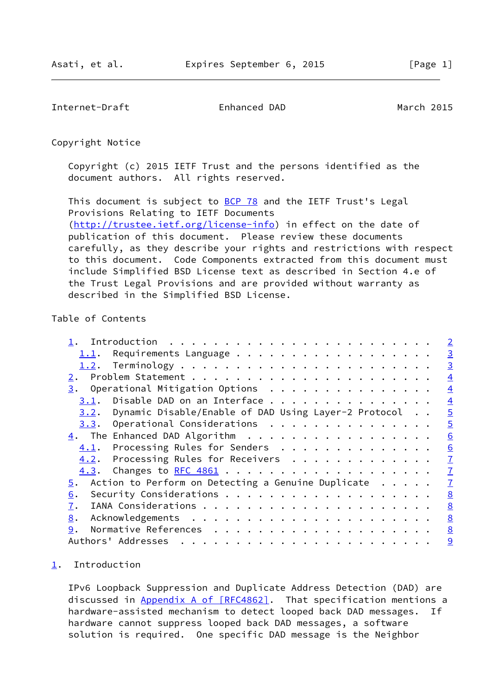<span id="page-1-1"></span>Internet-Draft Enhanced DAD March 2015

Copyright Notice

 Copyright (c) 2015 IETF Trust and the persons identified as the document authors. All rights reserved.

This document is subject to **[BCP 78](https://datatracker.ietf.org/doc/pdf/bcp78)** and the IETF Trust's Legal Provisions Relating to IETF Documents [\(http://trustee.ietf.org/license-info](http://trustee.ietf.org/license-info)) in effect on the date of publication of this document. Please review these documents carefully, as they describe your rights and restrictions with respect to this document. Code Components extracted from this document must include Simplified BSD License text as described in Section 4.e of the Trust Legal Provisions and are provided without warranty as described in the Simplified BSD License.

# Table of Contents

|                                                                    |  | $\overline{\phantom{0}}^2$ |
|--------------------------------------------------------------------|--|----------------------------|
|                                                                    |  | $\overline{3}$             |
|                                                                    |  | $\overline{3}$             |
|                                                                    |  | $\overline{4}$             |
| $\underline{3}$ . Operational Mitigation Options                   |  | $\overline{4}$             |
| Disable DAD on an Interface<br>3.1.                                |  | $\overline{4}$             |
| 3.2. Dynamic Disable/Enable of DAD Using Layer-2 Protocol          |  | $\overline{5}$             |
|                                                                    |  | $\overline{5}$             |
|                                                                    |  | 6                          |
| 4.1. Processing Rules for Senders                                  |  | 6                          |
| 4.2. Processing Rules for Receivers                                |  | $\overline{1}$             |
|                                                                    |  | $\overline{1}$             |
| $5.$ Action to Perform on Detecting a Genuine Duplicate $\ldots$ . |  | $\overline{1}$             |
| 6.                                                                 |  | 8                          |
| 7.                                                                 |  | 8                          |
| 8.                                                                 |  | 8                          |
| 9.                                                                 |  | 8                          |
|                                                                    |  | 9                          |

#### <span id="page-1-0"></span>[1](#page-1-0). Introduction

 IPv6 Loopback Suppression and Duplicate Address Detection (DAD) are discussed in Appendix [A of \[RFC4862\]](https://datatracker.ietf.org/doc/pdf/rfc4862#appendix-A). That specification mentions a hardware-assisted mechanism to detect looped back DAD messages. If hardware cannot suppress looped back DAD messages, a software solution is required. One specific DAD message is the Neighbor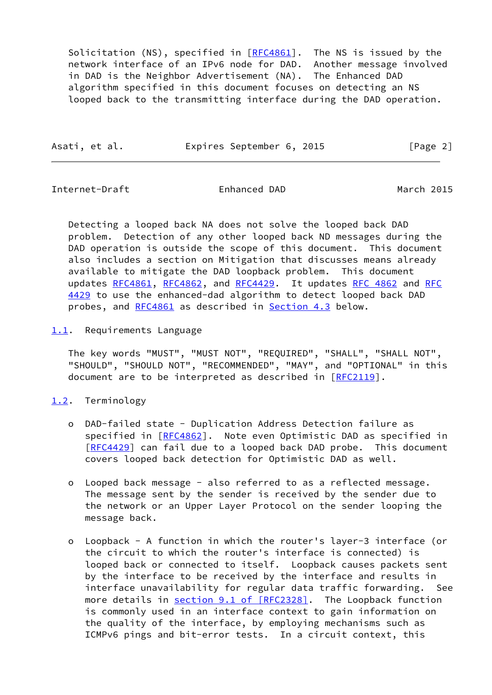Solicitation (NS), specified in  $[REC4861]$ . The NS is issued by the network interface of an IPv6 node for DAD. Another message involved in DAD is the Neighbor Advertisement (NA). The Enhanced DAD algorithm specified in this document focuses on detecting an NS looped back to the transmitting interface during the DAD operation.

| Expires September 6, 2015 | Asati, et al. |  |  |  |  |  | [Page 2] |  |
|---------------------------|---------------|--|--|--|--|--|----------|--|
|---------------------------|---------------|--|--|--|--|--|----------|--|

<span id="page-2-1"></span>Internet-Draft Enhanced DAD March 2015

 Detecting a looped back NA does not solve the looped back DAD problem. Detection of any other looped back ND messages during the DAD operation is outside the scope of this document. This document also includes a section on Mitigation that discusses means already available to mitigate the DAD loopback problem. This document updates [RFC4861](https://datatracker.ietf.org/doc/pdf/rfc4861), [RFC4862](https://datatracker.ietf.org/doc/pdf/rfc4862), and [RFC4429](https://datatracker.ietf.org/doc/pdf/rfc4429). It updates [RFC 4862](https://datatracker.ietf.org/doc/pdf/rfc4862) and [RFC](https://datatracker.ietf.org/doc/pdf/rfc4429) [4429](https://datatracker.ietf.org/doc/pdf/rfc4429) to use the enhanced-dad algorithm to detect looped back DAD probes, and [RFC4861](https://datatracker.ietf.org/doc/pdf/rfc4861) as described in [Section 4.3](#page-7-0) below.

<span id="page-2-0"></span>[1.1](#page-2-0). Requirements Language

 The key words "MUST", "MUST NOT", "REQUIRED", "SHALL", "SHALL NOT", "SHOULD", "SHOULD NOT", "RECOMMENDED", "MAY", and "OPTIONAL" in this document are to be interpreted as described in [\[RFC2119](https://datatracker.ietf.org/doc/pdf/rfc2119)].

# <span id="page-2-2"></span>[1.2](#page-2-2). Terminology

- o DAD-failed state Duplication Address Detection failure as specified in [\[RFC4862](https://datatracker.ietf.org/doc/pdf/rfc4862)]. Note even Optimistic DAD as specified in [[RFC4429\]](https://datatracker.ietf.org/doc/pdf/rfc4429) can fail due to a looped back DAD probe. This document covers looped back detection for Optimistic DAD as well.
- o Looped back message also referred to as a reflected message. The message sent by the sender is received by the sender due to the network or an Upper Layer Protocol on the sender looping the message back.
- o Loopback A function in which the router's layer-3 interface (or the circuit to which the router's interface is connected) is looped back or connected to itself. Loopback causes packets sent by the interface to be received by the interface and results in interface unavailability for regular data traffic forwarding. See more details in section [9.1 of \[RFC2328\].](https://datatracker.ietf.org/doc/pdf/rfc2328#section-9.1) The Loopback function is commonly used in an interface context to gain information on the quality of the interface, by employing mechanisms such as ICMPv6 pings and bit-error tests. In a circuit context, this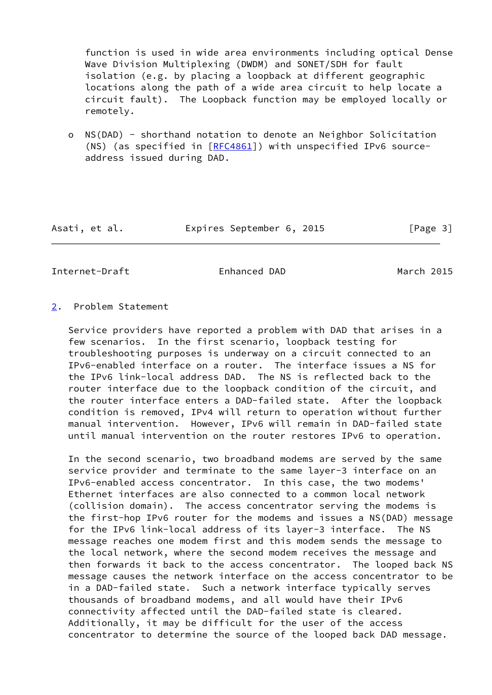function is used in wide area environments including optical Dense Wave Division Multiplexing (DWDM) and SONET/SDH for fault isolation (e.g. by placing a loopback at different geographic locations along the path of a wide area circuit to help locate a circuit fault). The Loopback function may be employed locally or remotely.

 o NS(DAD) - shorthand notation to denote an Neighbor Solicitation (NS) (as specified in  $[REC4861]$ ) with unspecified IPv6 sourceaddress issued during DAD.

Asati, et al. Expires September 6, 2015 [Page 3]

<span id="page-3-1"></span>Internet-Draft Enhanced DAD March 2015

### <span id="page-3-0"></span>[2](#page-3-0). Problem Statement

 Service providers have reported a problem with DAD that arises in a few scenarios. In the first scenario, loopback testing for troubleshooting purposes is underway on a circuit connected to an IPv6-enabled interface on a router. The interface issues a NS for the IPv6 link-local address DAD. The NS is reflected back to the router interface due to the loopback condition of the circuit, and the router interface enters a DAD-failed state. After the loopback condition is removed, IPv4 will return to operation without further manual intervention. However, IPv6 will remain in DAD-failed state until manual intervention on the router restores IPv6 to operation.

 In the second scenario, two broadband modems are served by the same service provider and terminate to the same layer-3 interface on an IPv6-enabled access concentrator. In this case, the two modems' Ethernet interfaces are also connected to a common local network (collision domain). The access concentrator serving the modems is the first-hop IPv6 router for the modems and issues a NS(DAD) message for the IPv6 link-local address of its layer-3 interface. The NS message reaches one modem first and this modem sends the message to the local network, where the second modem receives the message and then forwards it back to the access concentrator. The looped back NS message causes the network interface on the access concentrator to be in a DAD-failed state. Such a network interface typically serves thousands of broadband modems, and all would have their IPv6 connectivity affected until the DAD-failed state is cleared. Additionally, it may be difficult for the user of the access concentrator to determine the source of the looped back DAD message.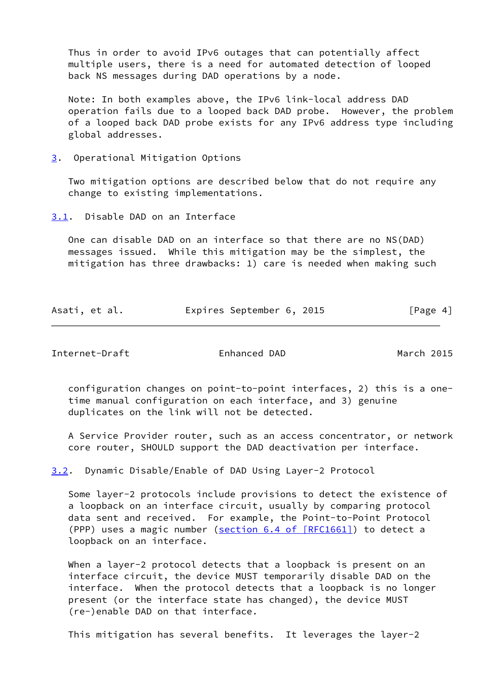Thus in order to avoid IPv6 outages that can potentially affect multiple users, there is a need for automated detection of looped back NS messages during DAD operations by a node.

 Note: In both examples above, the IPv6 link-local address DAD operation fails due to a looped back DAD probe. However, the problem of a looped back DAD probe exists for any IPv6 address type including global addresses.

<span id="page-4-0"></span>[3](#page-4-0). Operational Mitigation Options

 Two mitigation options are described below that do not require any change to existing implementations.

<span id="page-4-1"></span>[3.1](#page-4-1). Disable DAD on an Interface

 One can disable DAD on an interface so that there are no NS(DAD) messages issued. While this mitigation may be the simplest, the mitigation has three drawbacks: 1) care is needed when making such

| Asati, et al. |  | Expires September 6, 2015 |  | [Page 4] |
|---------------|--|---------------------------|--|----------|
|               |  |                           |  |          |

<span id="page-4-3"></span>Internet-Draft Enhanced DAD March 2015

 configuration changes on point-to-point interfaces, 2) this is a one time manual configuration on each interface, and 3) genuine duplicates on the link will not be detected.

 A Service Provider router, such as an access concentrator, or network core router, SHOULD support the DAD deactivation per interface.

<span id="page-4-2"></span>[3.2](#page-4-2). Dynamic Disable/Enable of DAD Using Layer-2 Protocol

 Some layer-2 protocols include provisions to detect the existence of a loopback on an interface circuit, usually by comparing protocol data sent and received. For example, the Point-to-Point Protocol (PPP) uses a magic number (section [6.4 of \[RFC1661\]\)](https://datatracker.ietf.org/doc/pdf/rfc1661#section-6.4) to detect a loopback on an interface.

When a layer-2 protocol detects that a loopback is present on an interface circuit, the device MUST temporarily disable DAD on the interface. When the protocol detects that a loopback is no longer present (or the interface state has changed), the device MUST (re-)enable DAD on that interface.

This mitigation has several benefits. It leverages the layer-2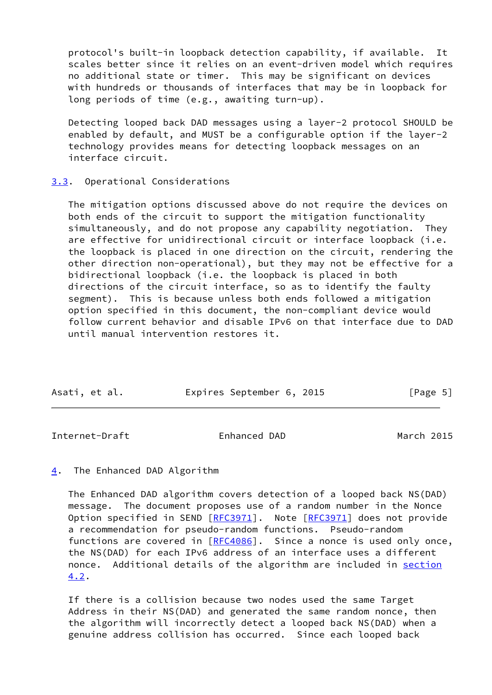protocol's built-in loopback detection capability, if available. It scales better since it relies on an event-driven model which requires no additional state or timer. This may be significant on devices with hundreds or thousands of interfaces that may be in loopback for long periods of time (e.g., awaiting turn-up).

 Detecting looped back DAD messages using a layer-2 protocol SHOULD be enabled by default, and MUST be a configurable option if the layer-2 technology provides means for detecting loopback messages on an interface circuit.

### <span id="page-5-0"></span>[3.3](#page-5-0). Operational Considerations

 The mitigation options discussed above do not require the devices on both ends of the circuit to support the mitigation functionality simultaneously, and do not propose any capability negotiation. They are effective for unidirectional circuit or interface loopback (i.e. the loopback is placed in one direction on the circuit, rendering the other direction non-operational), but they may not be effective for a bidirectional loopback (i.e. the loopback is placed in both directions of the circuit interface, so as to identify the faulty segment). This is because unless both ends followed a mitigation option specified in this document, the non-compliant device would follow current behavior and disable IPv6 on that interface due to DAD until manual intervention restores it.

| Asati, et al. |  | Expires September 6, 2015 |  | [Page 5] |  |
|---------------|--|---------------------------|--|----------|--|

<span id="page-5-2"></span>Internet-Draft Enhanced DAD March 2015

### <span id="page-5-1"></span>[4](#page-5-1). The Enhanced DAD Algorithm

 The Enhanced DAD algorithm covers detection of a looped back NS(DAD) message. The document proposes use of a random number in the Nonce Option specified in SEND [\[RFC3971](https://datatracker.ietf.org/doc/pdf/rfc3971)]. Note [[RFC3971](https://datatracker.ietf.org/doc/pdf/rfc3971)] does not provide a recommendation for pseudo-random functions. Pseudo-random functions are covered in [\[RFC4086](https://datatracker.ietf.org/doc/pdf/rfc4086)]. Since a nonce is used only once, the NS(DAD) for each IPv6 address of an interface uses a different nonce. Additional details of the algorithm are included in [section](#page-6-1) [4.2](#page-6-1).

 If there is a collision because two nodes used the same Target Address in their NS(DAD) and generated the same random nonce, then the algorithm will incorrectly detect a looped back NS(DAD) when a genuine address collision has occurred. Since each looped back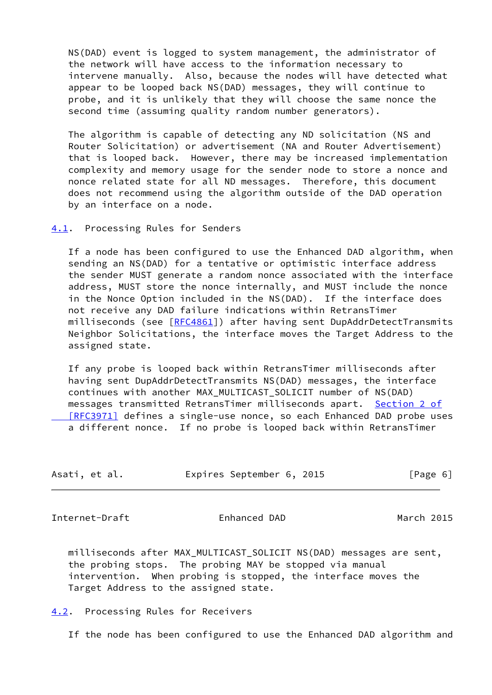NS(DAD) event is logged to system management, the administrator of the network will have access to the information necessary to intervene manually. Also, because the nodes will have detected what appear to be looped back NS(DAD) messages, they will continue to probe, and it is unlikely that they will choose the same nonce the second time (assuming quality random number generators).

 The algorithm is capable of detecting any ND solicitation (NS and Router Solicitation) or advertisement (NA and Router Advertisement) that is looped back. However, there may be increased implementation complexity and memory usage for the sender node to store a nonce and nonce related state for all ND messages. Therefore, this document does not recommend using the algorithm outside of the DAD operation by an interface on a node.

<span id="page-6-0"></span>[4.1](#page-6-0). Processing Rules for Senders

 If a node has been configured to use the Enhanced DAD algorithm, when sending an NS(DAD) for a tentative or optimistic interface address the sender MUST generate a random nonce associated with the interface address, MUST store the nonce internally, and MUST include the nonce in the Nonce Option included in the NS(DAD). If the interface does not receive any DAD failure indications within RetransTimer milliseconds (see [[RFC4861](https://datatracker.ietf.org/doc/pdf/rfc4861)]) after having sent DupAddrDetectTransmits Neighbor Solicitations, the interface moves the Target Address to the assigned state.

 If any probe is looped back within RetransTimer milliseconds after having sent DupAddrDetectTransmits NS(DAD) messages, the interface continues with another MAX\_MULTICAST\_SOLICIT number of NS(DAD) messages transmitted RetransTimer milliseconds apart. [Section](https://datatracker.ietf.org/doc/pdf/rfc3971#section-2) 2 of  [\[RFC3971\]](https://datatracker.ietf.org/doc/pdf/rfc3971#section-2) defines a single-use nonce, so each Enhanced DAD probe uses a different nonce. If no probe is looped back within RetransTimer

| Asati, et al. | Expires September 6, 2015 |  | [Page 6] |
|---------------|---------------------------|--|----------|
|---------------|---------------------------|--|----------|

<span id="page-6-2"></span>Internet-Draft Enhanced DAD March 2015

 milliseconds after MAX\_MULTICAST\_SOLICIT NS(DAD) messages are sent, the probing stops. The probing MAY be stopped via manual intervention. When probing is stopped, the interface moves the Target Address to the assigned state.

<span id="page-6-1"></span>[4.2](#page-6-1). Processing Rules for Receivers

If the node has been configured to use the Enhanced DAD algorithm and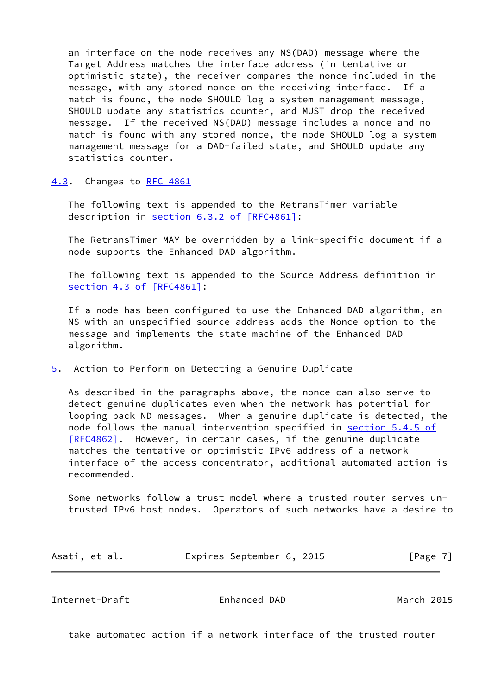an interface on the node receives any NS(DAD) message where the Target Address matches the interface address (in tentative or optimistic state), the receiver compares the nonce included in the message, with any stored nonce on the receiving interface. If a match is found, the node SHOULD log a system management message, SHOULD update any statistics counter, and MUST drop the received message. If the received NS(DAD) message includes a nonce and no match is found with any stored nonce, the node SHOULD log a system management message for a DAD-failed state, and SHOULD update any statistics counter.

<span id="page-7-0"></span>[4.3](#page-7-0). Changes to [RFC 4861](https://datatracker.ietf.org/doc/pdf/rfc4861)

 The following text is appended to the RetransTimer variable description in section [6.3.2 of \[RFC4861\]:](https://datatracker.ietf.org/doc/pdf/rfc4861#section-6.3.2)

 The RetransTimer MAY be overridden by a link-specific document if a node supports the Enhanced DAD algorithm.

 The following text is appended to the Source Address definition in section [4.3 of \[RFC4861\]](https://datatracker.ietf.org/doc/pdf/rfc4861#section-4.3):

 If a node has been configured to use the Enhanced DAD algorithm, an NS with an unspecified source address adds the Nonce option to the message and implements the state machine of the Enhanced DAD algorithm.

<span id="page-7-1"></span>[5](#page-7-1). Action to Perform on Detecting a Genuine Duplicate

 As described in the paragraphs above, the nonce can also serve to detect genuine duplicates even when the network has potential for looping back ND messages. When a genuine duplicate is detected, the node follows the manual intervention specified in section [5.4.5 of](https://datatracker.ietf.org/doc/pdf/rfc4862#section-5.4.5) [RFC4862]. However, in certain cases, if the genuine duplicate matches the tentative or optimistic IPv6 address of a network interface of the access concentrator, additional automated action is recommended.

 Some networks follow a trust model where a trusted router serves un trusted IPv6 host nodes. Operators of such networks have a desire to

| Asati, et al. | Expires September 6, 2015 |  | [Page 7] |
|---------------|---------------------------|--|----------|
|---------------|---------------------------|--|----------|

<span id="page-7-2"></span>Internet-Draft Enhanced DAD March 2015

take automated action if a network interface of the trusted router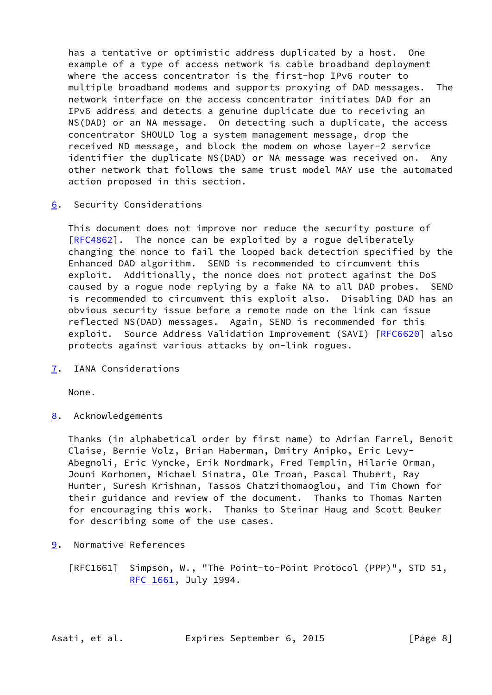has a tentative or optimistic address duplicated by a host. One example of a type of access network is cable broadband deployment where the access concentrator is the first-hop IPv6 router to multiple broadband modems and supports proxying of DAD messages. The network interface on the access concentrator initiates DAD for an IPv6 address and detects a genuine duplicate due to receiving an NS(DAD) or an NA message. On detecting such a duplicate, the access concentrator SHOULD log a system management message, drop the received ND message, and block the modem on whose layer-2 service identifier the duplicate NS(DAD) or NA message was received on. Any other network that follows the same trust model MAY use the automated action proposed in this section.

<span id="page-8-0"></span>[6](#page-8-0). Security Considerations

 This document does not improve nor reduce the security posture of [\[RFC4862](https://datatracker.ietf.org/doc/pdf/rfc4862)]. The nonce can be exploited by a rogue deliberately changing the nonce to fail the looped back detection specified by the Enhanced DAD algorithm. SEND is recommended to circumvent this exploit. Additionally, the nonce does not protect against the DoS caused by a rogue node replying by a fake NA to all DAD probes. SEND is recommended to circumvent this exploit also. Disabling DAD has an obvious security issue before a remote node on the link can issue reflected NS(DAD) messages. Again, SEND is recommended for this exploit. Source Address Validation Improvement (SAVI) [\[RFC6620](https://datatracker.ietf.org/doc/pdf/rfc6620)] also protects against various attacks by on-link rogues.

<span id="page-8-1"></span>[7](#page-8-1). IANA Considerations

None.

<span id="page-8-2"></span>[8](#page-8-2). Acknowledgements

 Thanks (in alphabetical order by first name) to Adrian Farrel, Benoit Claise, Bernie Volz, Brian Haberman, Dmitry Anipko, Eric Levy- Abegnoli, Eric Vyncke, Erik Nordmark, Fred Templin, Hilarie Orman, Jouni Korhonen, Michael Sinatra, Ole Troan, Pascal Thubert, Ray Hunter, Suresh Krishnan, Tassos Chatzithomaoglou, and Tim Chown for their guidance and review of the document. Thanks to Thomas Narten for encouraging this work. Thanks to Steinar Haug and Scott Beuker for describing some of the use cases.

<span id="page-8-3"></span>[9](#page-8-3). Normative References

 [RFC1661] Simpson, W., "The Point-to-Point Protocol (PPP)", STD 51, [RFC 1661,](https://datatracker.ietf.org/doc/pdf/rfc1661) July 1994.

Asati, et al. Expires September 6, 2015 [Page 8]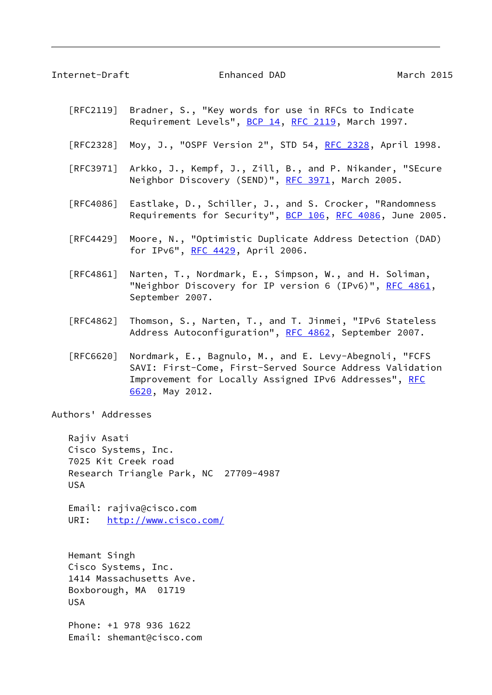<span id="page-9-0"></span>Internet-Draft Enhanced DAD March 2015

- [RFC2119] Bradner, S., "Key words for use in RFCs to Indicate Requirement Levels", [BCP 14](https://datatracker.ietf.org/doc/pdf/bcp14), [RFC 2119](https://datatracker.ietf.org/doc/pdf/rfc2119), March 1997.
- [RFC2328] Moy, J., "OSPF Version 2", STD 54, [RFC 2328](https://datatracker.ietf.org/doc/pdf/rfc2328), April 1998.
- [RFC3971] Arkko, J., Kempf, J., Zill, B., and P. Nikander, "SEcure Neighbor Discovery (SEND)", [RFC 3971,](https://datatracker.ietf.org/doc/pdf/rfc3971) March 2005.
- [RFC4086] Eastlake, D., Schiller, J., and S. Crocker, "Randomness Requirements for Security", [BCP 106](https://datatracker.ietf.org/doc/pdf/bcp106), [RFC 4086](https://datatracker.ietf.org/doc/pdf/rfc4086), June 2005.
- [RFC4429] Moore, N., "Optimistic Duplicate Address Detection (DAD) for IPv6", [RFC 4429](https://datatracker.ietf.org/doc/pdf/rfc4429), April 2006.
- [RFC4861] Narten, T., Nordmark, E., Simpson, W., and H. Soliman, "Neighbor Discovery for IP version 6 (IPv6)", [RFC 4861](https://datatracker.ietf.org/doc/pdf/rfc4861), September 2007.
- [RFC4862] Thomson, S., Narten, T., and T. Jinmei, "IPv6 Stateless Address Autoconfiguration", [RFC 4862,](https://datatracker.ietf.org/doc/pdf/rfc4862) September 2007.
- [RFC6620] Nordmark, E., Bagnulo, M., and E. Levy-Abegnoli, "FCFS SAVI: First-Come, First-Served Source Address Validation Improvement for Locally Assigned IPv6 Addresses", [RFC](https://datatracker.ietf.org/doc/pdf/rfc6620) [6620,](https://datatracker.ietf.org/doc/pdf/rfc6620) May 2012.

Authors' Addresses

 Rajiv Asati Cisco Systems, Inc. 7025 Kit Creek road Research Triangle Park, NC 27709-4987 USA

 Email: rajiva@cisco.com URI: <http://www.cisco.com/>

 Hemant Singh Cisco Systems, Inc. 1414 Massachusetts Ave. Boxborough, MA 01719 USA

 Phone: +1 978 936 1622 Email: shemant@cisco.com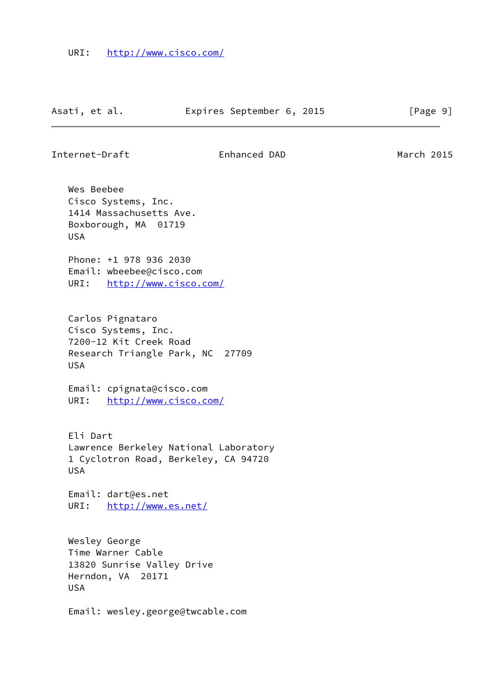Internet-Draft Enhanced DAD March 2015

 Wes Beebee Cisco Systems, Inc. 1414 Massachusetts Ave. Boxborough, MA 01719 USA

 Phone: +1 978 936 2030 Email: wbeebee@cisco.com URI: <http://www.cisco.com/>

 Carlos Pignataro Cisco Systems, Inc. 7200-12 Kit Creek Road Research Triangle Park, NC 27709 USA

 Email: cpignata@cisco.com URI: <http://www.cisco.com/>

 Eli Dart Lawrence Berkeley National Laboratory 1 Cyclotron Road, Berkeley, CA 94720 USA

 Email: dart@es.net URI: <http://www.es.net/>

 Wesley George Time Warner Cable 13820 Sunrise Valley Drive Herndon, VA 20171 USA

Email: wesley.george@twcable.com